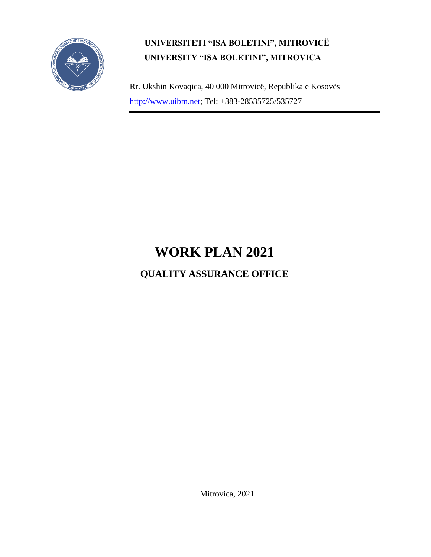

## **UNIVERSITETI "ISA BOLETINI", MITROVICË UNIVERSITY "ISA BOLETINI", MITROVICA**

Rr. Ukshin Kovaqica, 40 000 Mitrovicë, Republika e Kosovës [http://www.uibm.net;](http://www.umib.net/) Tel: +383-28535725/535727

## **WORK PLAN 2021**

## **QUALITY ASSURANCE OFFICE**

Mitrovica, 2021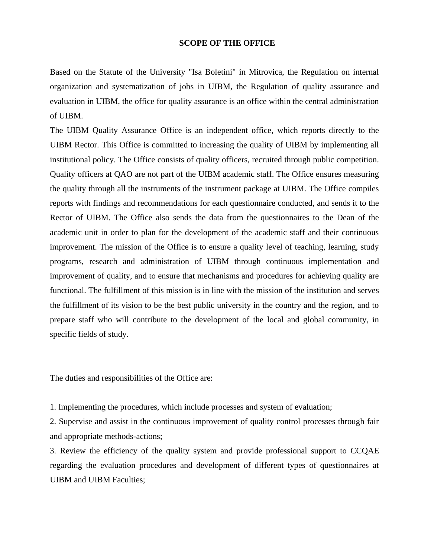## **SCOPE OF THE OFFICE**

Based on the Statute of the University "Isa Boletini" in Mitrovica, the Regulation on internal organization and systematization of jobs in UIBM, the Regulation of quality assurance and evaluation in UIBM, the office for quality assurance is an office within the central administration of UIBM.

The UIBM Quality Assurance Office is an independent office, which reports directly to the UIBM Rector. This Office is committed to increasing the quality of UIBM by implementing all institutional policy. The Office consists of quality officers, recruited through public competition. Quality officers at QAO are not part of the UIBM academic staff. The Office ensures measuring the quality through all the instruments of the instrument package at UIBM. The Office compiles reports with findings and recommendations for each questionnaire conducted, and sends it to the Rector of UIBM. The Office also sends the data from the questionnaires to the Dean of the academic unit in order to plan for the development of the academic staff and their continuous improvement. The mission of the Office is to ensure a quality level of teaching, learning, study programs, research and administration of UIBM through continuous implementation and improvement of quality, and to ensure that mechanisms and procedures for achieving quality are functional. The fulfillment of this mission is in line with the mission of the institution and serves the fulfillment of its vision to be the best public university in the country and the region, and to prepare staff who will contribute to the development of the local and global community, in specific fields of study.

The duties and responsibilities of the Office are:

1. Implementing the procedures, which include processes and system of evaluation;

2. Supervise and assist in the continuous improvement of quality control processes through fair and appropriate methods-actions;

3. Review the efficiency of the quality system and provide professional support to CCQAE regarding the evaluation procedures and development of different types of questionnaires at UIBM and UIBM Faculties;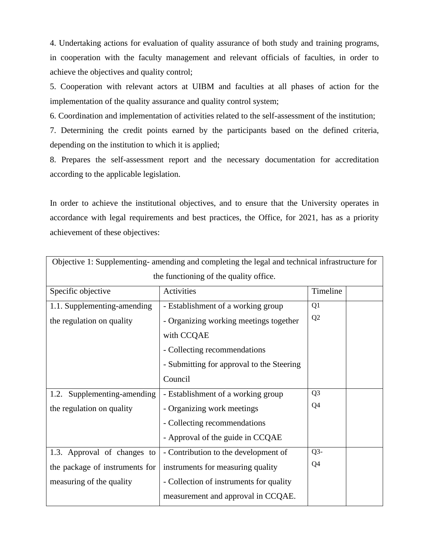4. Undertaking actions for evaluation of quality assurance of both study and training programs, in cooperation with the faculty management and relevant officials of faculties, in order to achieve the objectives and quality control;

5. Cooperation with relevant actors at UIBM and faculties at all phases of action for the implementation of the quality assurance and quality control system;

6. Coordination and implementation of activities related to the self-assessment of the institution;

7. Determining the credit points earned by the participants based on the defined criteria, depending on the institution to which it is applied;

8. Prepares the self-assessment report and the necessary documentation for accreditation according to the applicable legislation.

In order to achieve the institutional objectives, and to ensure that the University operates in accordance with legal requirements and best practices, the Office, for 2021, has as a priority achievement of these objectives:

| Objective 1: Supplementing- amending and completing the legal and technical infrastructure for |                                           |                |  |
|------------------------------------------------------------------------------------------------|-------------------------------------------|----------------|--|
| the functioning of the quality office.                                                         |                                           |                |  |
| Specific objective                                                                             | Activities                                | Timeline       |  |
| 1.1. Supplementing-amending                                                                    | - Establishment of a working group        | Q <sub>1</sub> |  |
| the regulation on quality                                                                      | - Organizing working meetings together    | Q2             |  |
|                                                                                                | with CCQAE                                |                |  |
|                                                                                                | - Collecting recommendations              |                |  |
|                                                                                                | - Submitting for approval to the Steering |                |  |
|                                                                                                | Council                                   |                |  |
| Supplementing-amending<br>1.2.                                                                 | - Establishment of a working group        | Q <sub>3</sub> |  |
| the regulation on quality                                                                      | - Organizing work meetings                | Q4             |  |
|                                                                                                | - Collecting recommendations              |                |  |
|                                                                                                | - Approval of the guide in CCQAE          |                |  |
| 1.3. Approval of changes to                                                                    | - Contribution to the development of      | $Q3-$          |  |
| the package of instruments for                                                                 | instruments for measuring quality         | Q4             |  |
| measuring of the quality                                                                       | - Collection of instruments for quality   |                |  |
|                                                                                                | measurement and approval in CCQAE.        |                |  |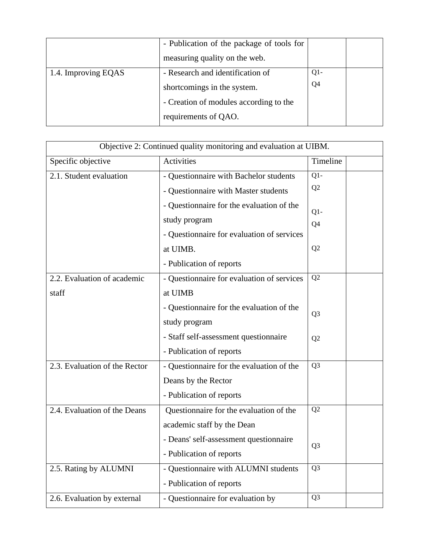|                     | - Publication of the package of tools for |                |  |
|---------------------|-------------------------------------------|----------------|--|
|                     | measuring quality on the web.             |                |  |
| 1.4. Improving EQAS | - Research and identification of          | $Q1 -$         |  |
|                     | shortcomings in the system.               | Q <sub>4</sub> |  |
|                     | - Creation of modules according to the    |                |  |
|                     | requirements of QAO.                      |                |  |

| Objective 2: Continued quality monitoring and evaluation at UIBM. |                                            |                |
|-------------------------------------------------------------------|--------------------------------------------|----------------|
| Specific objective                                                | <b>Activities</b>                          | Timeline       |
| $\overline{2.1}$ . Student evaluation                             | - Questionnaire with Bachelor students     | $Q1 -$         |
|                                                                   | - Questionnaire with Master students       | Q2             |
|                                                                   | - Questionnaire for the evaluation of the  | $Q1 -$         |
|                                                                   | study program                              | Q4             |
|                                                                   | - Questionnaire for evaluation of services |                |
|                                                                   | at UIMB.                                   | Q2             |
|                                                                   | - Publication of reports                   |                |
| 2.2. Evaluation of academic                                       | - Questionnaire for evaluation of services | Q2             |
| staff                                                             | at UIMB                                    |                |
|                                                                   | - Questionnaire for the evaluation of the  | Q <sub>3</sub> |
|                                                                   | study program                              |                |
|                                                                   | - Staff self-assessment questionnaire      | Q2             |
|                                                                   | - Publication of reports                   |                |
| 2.3. Evaluation of the Rector                                     | - Questionnaire for the evaluation of the  | Q <sub>3</sub> |
|                                                                   | Deans by the Rector                        |                |
|                                                                   | - Publication of reports                   |                |
| 2.4. Evaluation of the Deans                                      | Questionnaire for the evaluation of the    | Q2             |
|                                                                   | academic staff by the Dean                 |                |
|                                                                   | - Deans' self-assessment questionnaire     | Q <sub>3</sub> |
|                                                                   | - Publication of reports                   |                |
| 2.5. Rating by ALUMNI                                             | - Questionnaire with ALUMNI students       | Q <sub>3</sub> |
|                                                                   | - Publication of reports                   |                |
| 2.6. Evaluation by external                                       | - Questionnaire for evaluation by          | Q <sub>3</sub> |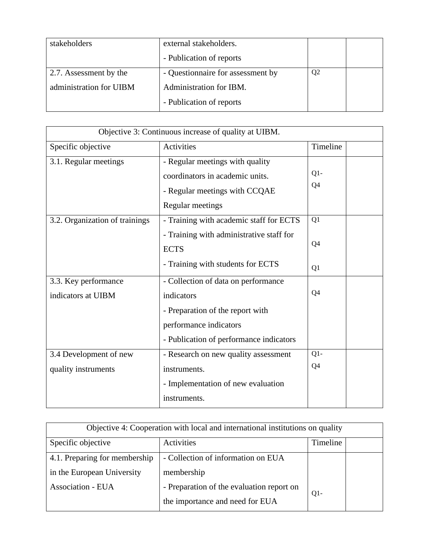| stakeholders            | external stakeholders.            |                |  |
|-------------------------|-----------------------------------|----------------|--|
|                         | - Publication of reports          |                |  |
| 2.7. Assessment by the  | - Questionnaire for assessment by | Q <sub>2</sub> |  |
| administration for UIBM | Administration for IBM.           |                |  |
|                         | - Publication of reports          |                |  |

| Objective 3: Continuous increase of quality at UIBM. |                                          |                |
|------------------------------------------------------|------------------------------------------|----------------|
| Specific objective                                   | Activities                               | Timeline       |
| 3.1. Regular meetings                                | - Regular meetings with quality          |                |
|                                                      | coordinators in academic units.          | $Q1 -$         |
|                                                      | - Regular meetings with CCQAE            | Q <sub>4</sub> |
|                                                      | Regular meetings                         |                |
| 3.2. Organization of trainings                       | - Training with academic staff for ECTS  | Q1             |
|                                                      | - Training with administrative staff for |                |
|                                                      | <b>ECTS</b>                              | Q4             |
|                                                      | - Training with students for ECTS        | Q1             |
| 3.3. Key performance                                 | - Collection of data on performance      |                |
| indicators at UIBM                                   | indicators                               | Q4             |
|                                                      | - Preparation of the report with         |                |
|                                                      | performance indicators                   |                |
|                                                      | - Publication of performance indicators  |                |
| 3.4 Development of new                               | - Research on new quality assessment     | $Q1 -$         |
| quality instruments                                  | instruments.                             | Q4             |
|                                                      | - Implementation of new evaluation       |                |
|                                                      | instruments.                             |                |

| Objective 4: Cooperation with local and international institutions on quality |                                           |          |  |
|-------------------------------------------------------------------------------|-------------------------------------------|----------|--|
| Specific objective                                                            | Activities                                | Timeline |  |
| 4.1. Preparing for membership                                                 | - Collection of information on EUA        |          |  |
| in the European University                                                    | membership                                |          |  |
| Association - EUA                                                             | - Preparation of the evaluation report on | $Q1-$    |  |
|                                                                               | the importance and need for EUA           |          |  |